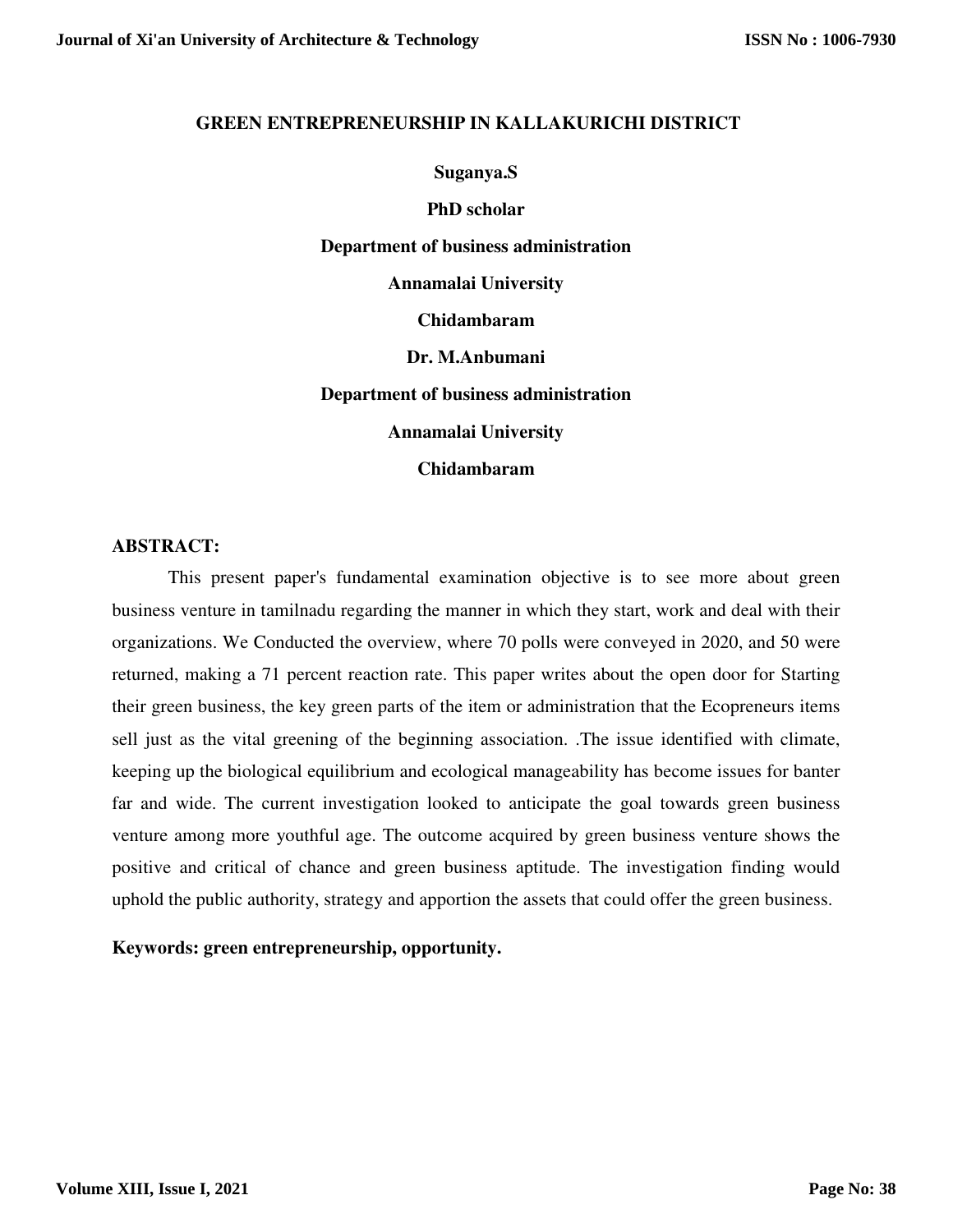#### **GREEN ENTREPRENEURSHIP IN KALLAKURICHI DISTRICT**

#### **Suganya.S**

**PhD scholar Department of business administration Annamalai University Chidambaram Dr. M.Anbumani Department of business administration Annamalai University** 

**Chidambaram** 

#### **ABSTRACT:**

 This present paper's fundamental examination objective is to see more about green business venture in tamilnadu regarding the manner in which they start, work and deal with their organizations. We Conducted the overview, where 70 polls were conveyed in 2020, and 50 were returned, making a 71 percent reaction rate. This paper writes about the open door for Starting their green business, the key green parts of the item or administration that the Ecopreneurs items sell just as the vital greening of the beginning association. .The issue identified with climate, keeping up the biological equilibrium and ecological manageability has become issues for banter far and wide. The current investigation looked to anticipate the goal towards green business venture among more youthful age. The outcome acquired by green business venture shows the positive and critical of chance and green business aptitude. The investigation finding would uphold the public authority, strategy and apportion the assets that could offer the green business.

**Keywords: green entrepreneurship, opportunity.**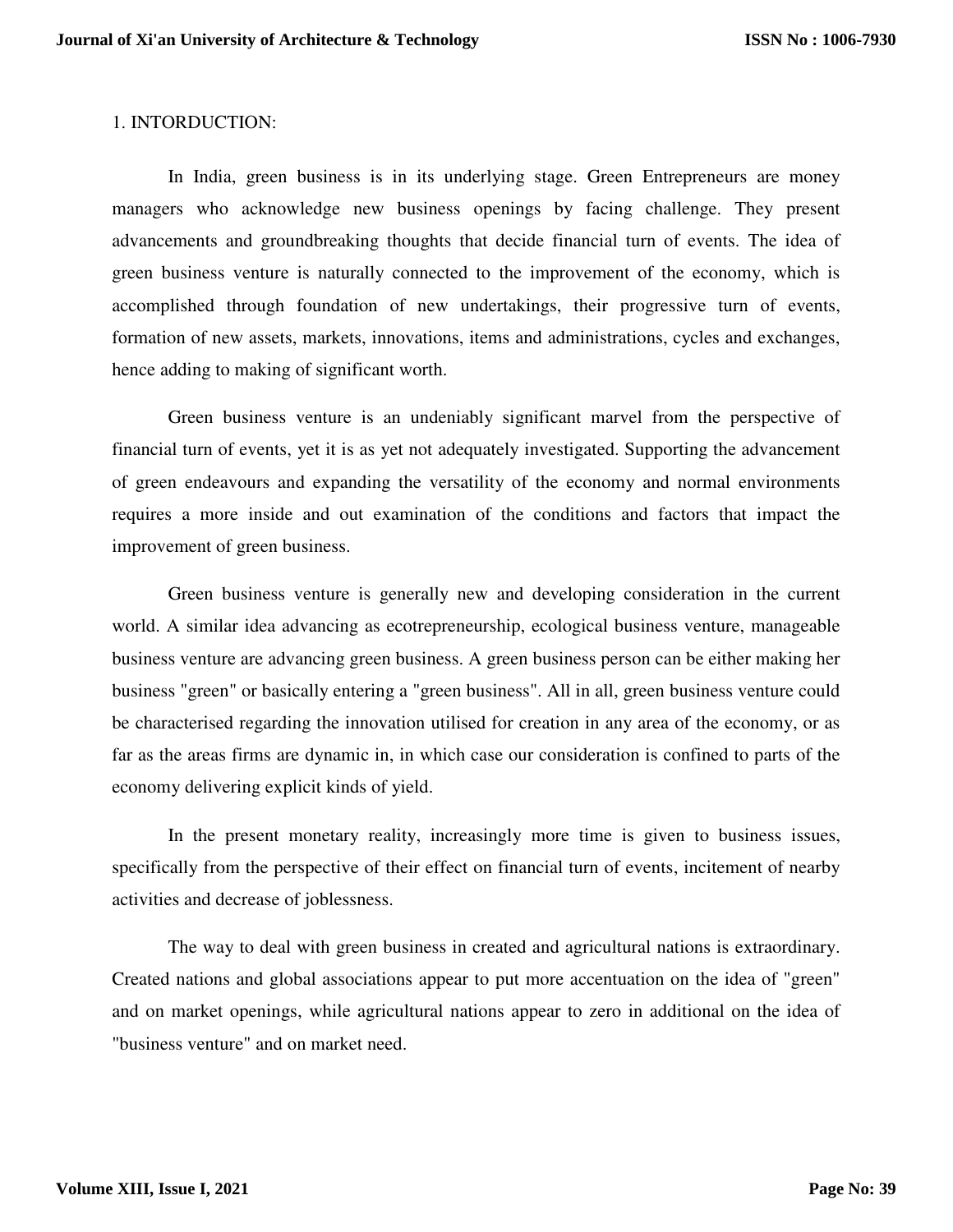### 1. INTORDUCTION:

 In India, green business is in its underlying stage. Green Entrepreneurs are money managers who acknowledge new business openings by facing challenge. They present advancements and groundbreaking thoughts that decide financial turn of events. The idea of green business venture is naturally connected to the improvement of the economy, which is accomplished through foundation of new undertakings, their progressive turn of events, formation of new assets, markets, innovations, items and administrations, cycles and exchanges, hence adding to making of significant worth.

Green business venture is an undeniably significant marvel from the perspective of financial turn of events, yet it is as yet not adequately investigated. Supporting the advancement of green endeavours and expanding the versatility of the economy and normal environments requires a more inside and out examination of the conditions and factors that impact the improvement of green business.

Green business venture is generally new and developing consideration in the current world. A similar idea advancing as ecotrepreneurship, ecological business venture, manageable business venture are advancing green business. A green business person can be either making her business "green" or basically entering a "green business". All in all, green business venture could be characterised regarding the innovation utilised for creation in any area of the economy, or as far as the areas firms are dynamic in, in which case our consideration is confined to parts of the economy delivering explicit kinds of yield.

In the present monetary reality, increasingly more time is given to business issues, specifically from the perspective of their effect on financial turn of events, incitement of nearby activities and decrease of joblessness.

The way to deal with green business in created and agricultural nations is extraordinary. Created nations and global associations appear to put more accentuation on the idea of "green" and on market openings, while agricultural nations appear to zero in additional on the idea of "business venture" and on market need.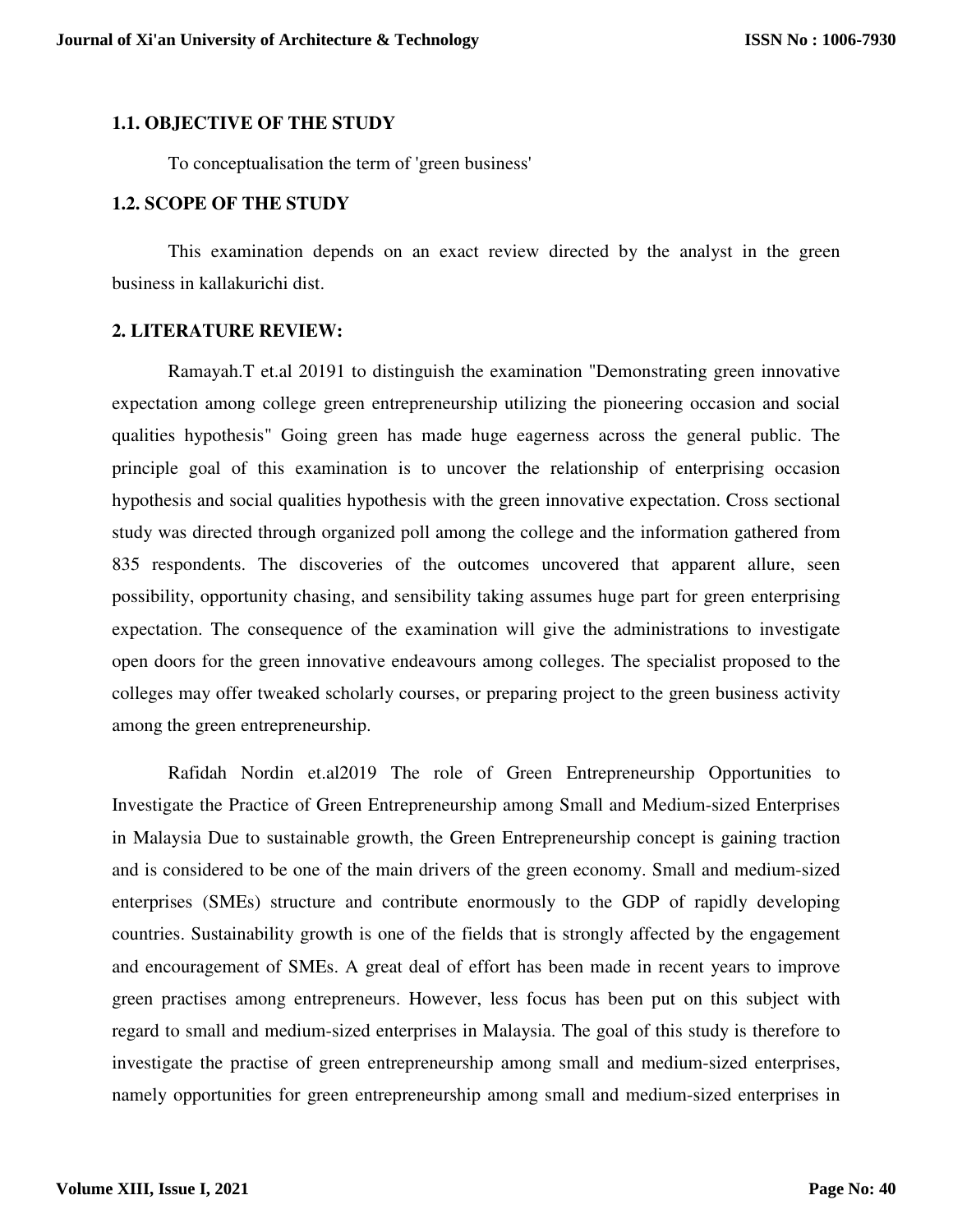### **1.1. OBJECTIVE OF THE STUDY**

To conceptualisation the term of 'green business'

### **1.2. SCOPE OF THE STUDY**

This examination depends on an exact review directed by the analyst in the green business in kallakurichi dist.

### **2. LITERATURE REVIEW:**

Ramayah.T et.al 20191 to distinguish the examination "Demonstrating green innovative expectation among college green entrepreneurship utilizing the pioneering occasion and social qualities hypothesis" Going green has made huge eagerness across the general public. The principle goal of this examination is to uncover the relationship of enterprising occasion hypothesis and social qualities hypothesis with the green innovative expectation. Cross sectional study was directed through organized poll among the college and the information gathered from 835 respondents. The discoveries of the outcomes uncovered that apparent allure, seen possibility, opportunity chasing, and sensibility taking assumes huge part for green enterprising expectation. The consequence of the examination will give the administrations to investigate open doors for the green innovative endeavours among colleges. The specialist proposed to the colleges may offer tweaked scholarly courses, or preparing project to the green business activity among the green entrepreneurship.

Rafidah Nordin et.al2019 The role of Green Entrepreneurship Opportunities to Investigate the Practice of Green Entrepreneurship among Small and Medium-sized Enterprises in Malaysia Due to sustainable growth, the Green Entrepreneurship concept is gaining traction and is considered to be one of the main drivers of the green economy. Small and medium-sized enterprises (SMEs) structure and contribute enormously to the GDP of rapidly developing countries. Sustainability growth is one of the fields that is strongly affected by the engagement and encouragement of SMEs. A great deal of effort has been made in recent years to improve green practises among entrepreneurs. However, less focus has been put on this subject with regard to small and medium-sized enterprises in Malaysia. The goal of this study is therefore to investigate the practise of green entrepreneurship among small and medium-sized enterprises, namely opportunities for green entrepreneurship among small and medium-sized enterprises in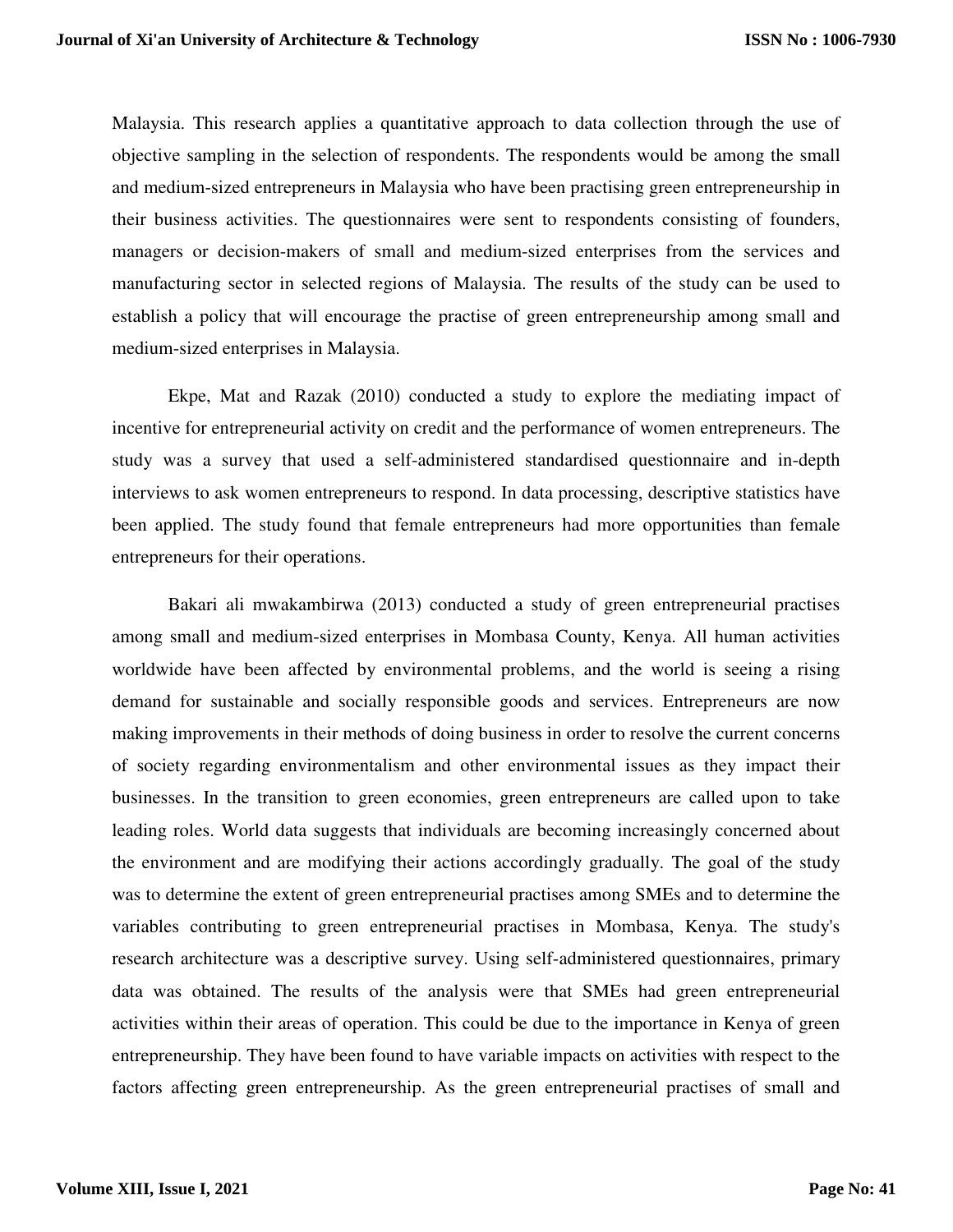Malaysia. This research applies a quantitative approach to data collection through the use of objective sampling in the selection of respondents. The respondents would be among the small and medium-sized entrepreneurs in Malaysia who have been practising green entrepreneurship in their business activities. The questionnaires were sent to respondents consisting of founders, managers or decision-makers of small and medium-sized enterprises from the services and manufacturing sector in selected regions of Malaysia. The results of the study can be used to establish a policy that will encourage the practise of green entrepreneurship among small and medium-sized enterprises in Malaysia.

Ekpe, Mat and Razak (2010) conducted a study to explore the mediating impact of incentive for entrepreneurial activity on credit and the performance of women entrepreneurs. The study was a survey that used a self-administered standardised questionnaire and in-depth interviews to ask women entrepreneurs to respond. In data processing, descriptive statistics have been applied. The study found that female entrepreneurs had more opportunities than female entrepreneurs for their operations.

Bakari ali mwakambirwa (2013) conducted a study of green entrepreneurial practises among small and medium-sized enterprises in Mombasa County, Kenya. All human activities worldwide have been affected by environmental problems, and the world is seeing a rising demand for sustainable and socially responsible goods and services. Entrepreneurs are now making improvements in their methods of doing business in order to resolve the current concerns of society regarding environmentalism and other environmental issues as they impact their businesses. In the transition to green economies, green entrepreneurs are called upon to take leading roles. World data suggests that individuals are becoming increasingly concerned about the environment and are modifying their actions accordingly gradually. The goal of the study was to determine the extent of green entrepreneurial practises among SMEs and to determine the variables contributing to green entrepreneurial practises in Mombasa, Kenya. The study's research architecture was a descriptive survey. Using self-administered questionnaires, primary data was obtained. The results of the analysis were that SMEs had green entrepreneurial activities within their areas of operation. This could be due to the importance in Kenya of green entrepreneurship. They have been found to have variable impacts on activities with respect to the factors affecting green entrepreneurship. As the green entrepreneurial practises of small and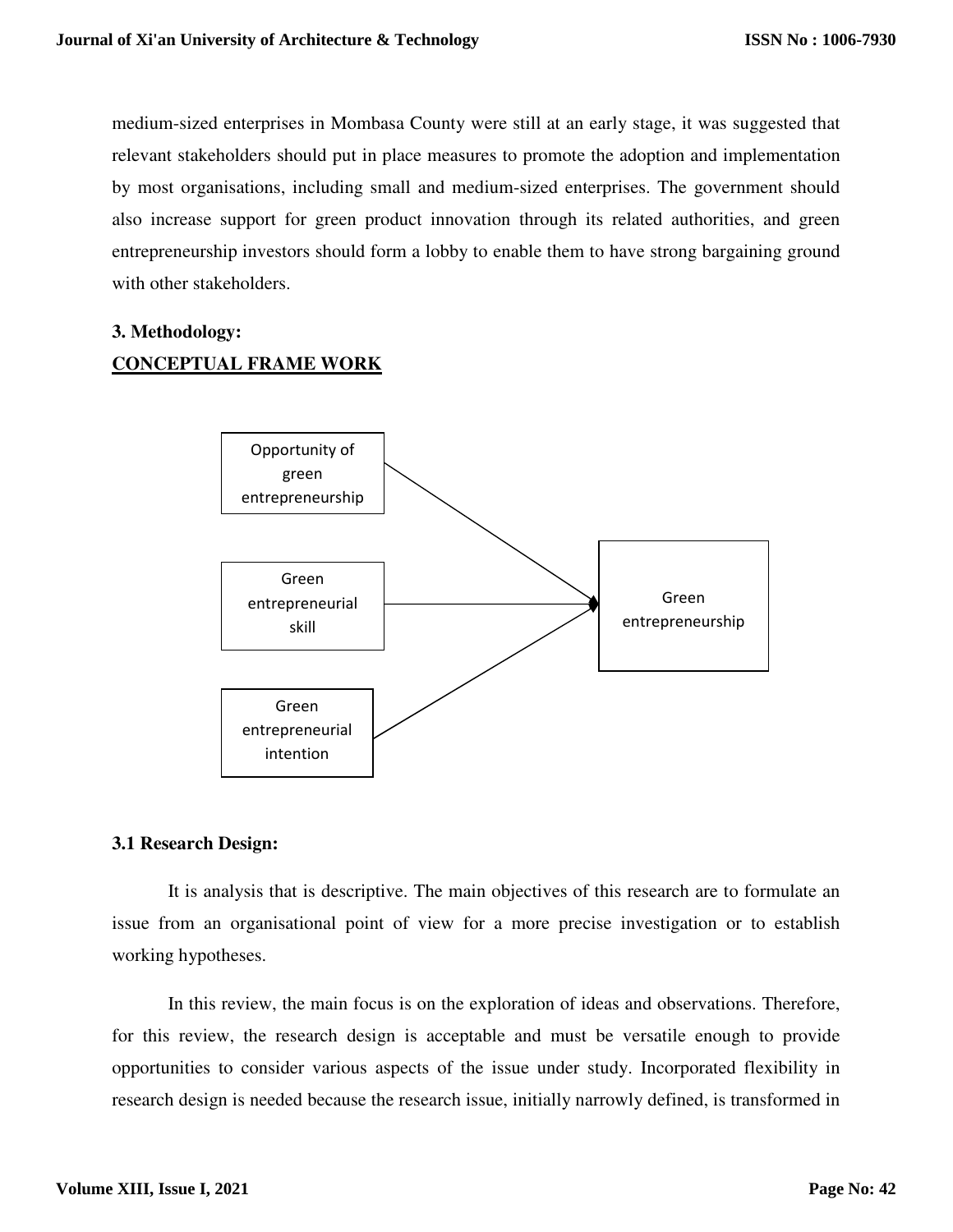medium-sized enterprises in Mombasa County were still at an early stage, it was suggested that relevant stakeholders should put in place measures to promote the adoption and implementation by most organisations, including small and medium-sized enterprises. The government should also increase support for green product innovation through its related authorities, and green entrepreneurship investors should form a lobby to enable them to have strong bargaining ground with other stakeholders.

# **3. Methodology: CONCEPTUAL FRAME WORK**



### **3.1 Research Design:**

It is analysis that is descriptive. The main objectives of this research are to formulate an issue from an organisational point of view for a more precise investigation or to establish working hypotheses.

In this review, the main focus is on the exploration of ideas and observations. Therefore, for this review, the research design is acceptable and must be versatile enough to provide opportunities to consider various aspects of the issue under study. Incorporated flexibility in research design is needed because the research issue, initially narrowly defined, is transformed in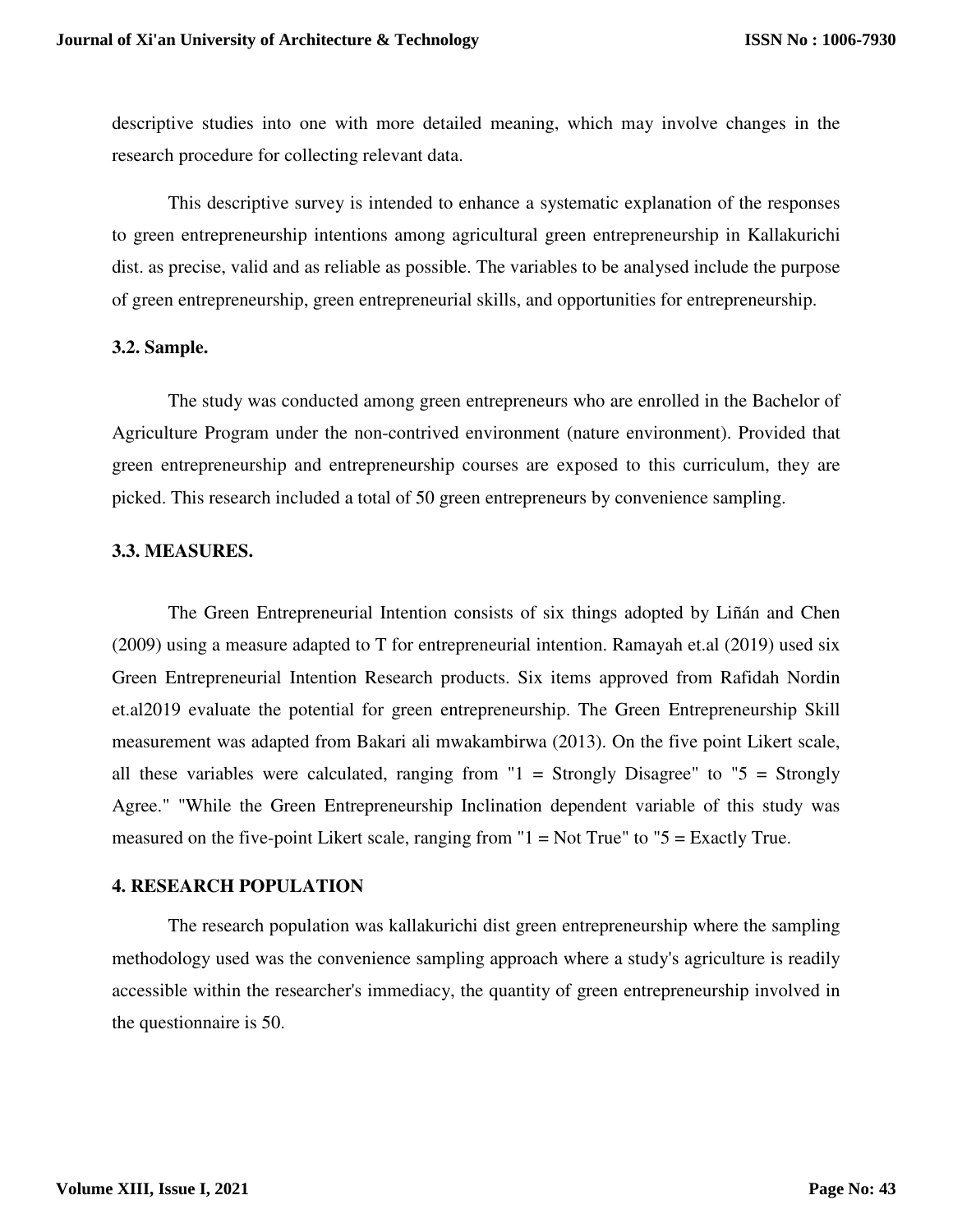descriptive studies into one with more detailed meaning, which may involve changes in the research procedure for collecting relevant data.

This descriptive survey is intended to enhance a systematic explanation of the responses to green entrepreneurship intentions among agricultural green entrepreneurship in Kallakurichi dist. as precise, valid and as reliable as possible. The variables to be analysed include the purpose of green entrepreneurship, green entrepreneurial skills, and opportunities for entrepreneurship.

#### **3.2. Sample.**

The study was conducted among green entrepreneurs who are enrolled in the Bachelor of Agriculture Program under the non-contrived environment (nature environment). Provided that green entrepreneurship and entrepreneurship courses are exposed to this curriculum, they are picked. This research included a total of 50 green entrepreneurs by convenience sampling.

#### **3.3. MEASURES.**

The Green Entrepreneurial Intention consists of six things adopted by Liñán and Chen (2009) using a measure adapted to T for entrepreneurial intention. Ramayah et.al (2019) used six Green Entrepreneurial Intention Research products. Six items approved from Rafidah Nordin et.al2019 evaluate the potential for green entrepreneurship. The Green Entrepreneurship Skill measurement was adapted from Bakari ali mwakambirwa (2013). On the five point Likert scale, all these variables were calculated, ranging from  $1 =$  Strongly Disagree" to  $5 =$  Strongly Agree." "While the Green Entrepreneurship Inclination dependent variable of this study was measured on the five-point Likert scale, ranging from " $1 = Not True$ " to " $5 = Exactly True$ .

#### **4. RESEARCH POPULATION**

The research population was kallakurichi dist green entrepreneurship where the sampling methodology used was the convenience sampling approach where a study's agriculture is readily accessible within the researcher's immediacy, the quantity of green entrepreneurship involved in the questionnaire is 50.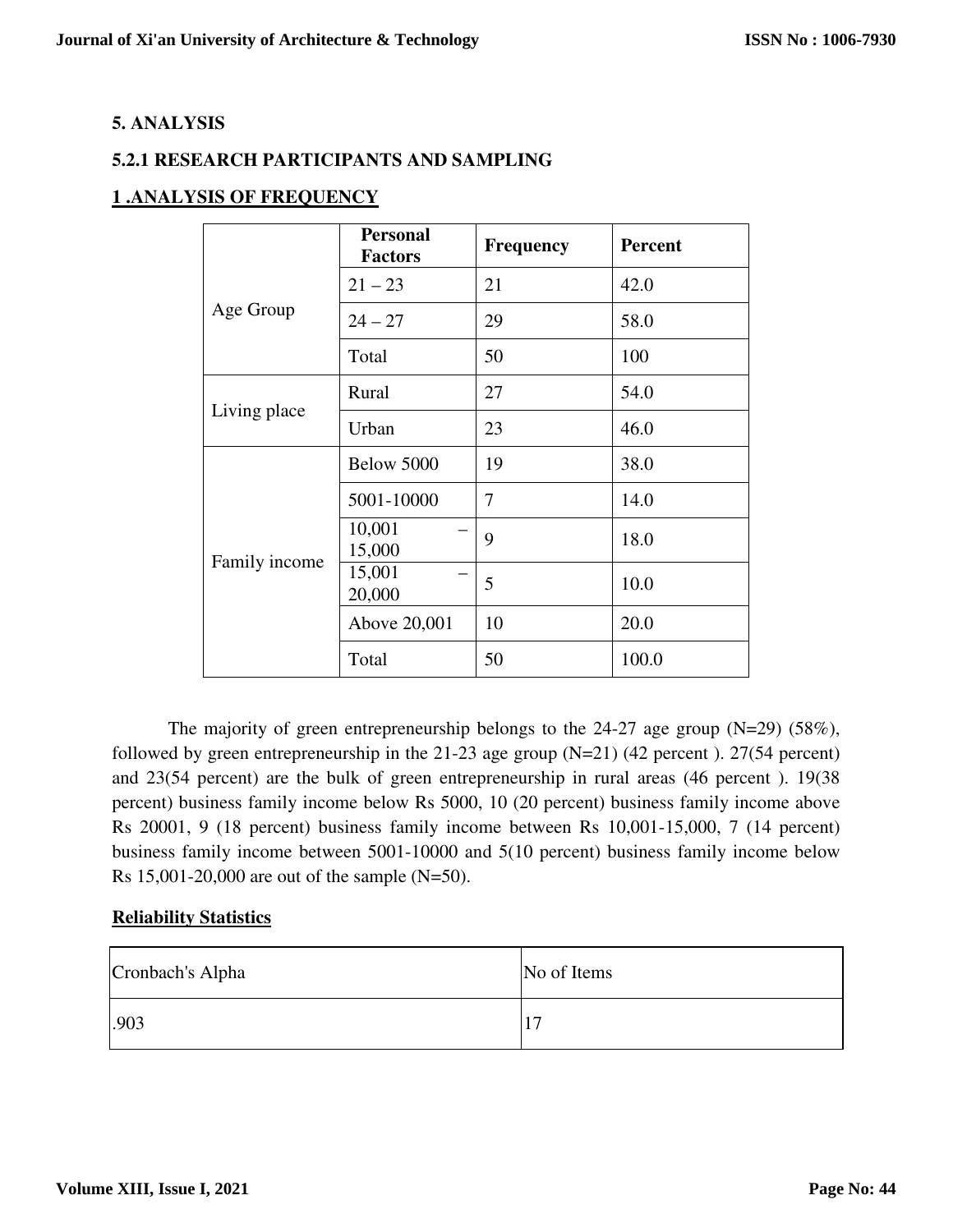# **5. ANALYSIS**

# **5.2.1 RESEARCH PARTICIPANTS AND SAMPLING**

# **1 .ANALYSIS OF FREQUENCY**

|               | <b>Personal</b><br><b>Factors</b> | <b>Frequency</b> | <b>Percent</b> |
|---------------|-----------------------------------|------------------|----------------|
|               | $21 - 23$                         | 21               | 42.0           |
| Age Group     | $24 - 27$                         | 29               | 58.0           |
|               | Total                             | 50               | 100            |
|               | Rural                             | 27               | 54.0           |
| Living place  | Urban                             | 23               | 46.0           |
|               | Below 5000                        | 19               | 38.0           |
|               | 5001-10000                        | 7                | 14.0           |
|               | 10,001<br>15,000                  | 9                | 18.0           |
| Family income | 15,001<br>20,000                  | 5                | 10.0           |
|               | Above 20,001                      | 10               | 20.0           |
|               | Total                             | 50               | 100.0          |

The majority of green entrepreneurship belongs to the 24-27 age group (N=29) (58%), followed by green entrepreneurship in the 21-23 age group  $(N=21)$  (42 percent). 27(54 percent) and 23(54 percent) are the bulk of green entrepreneurship in rural areas (46 percent ). 19(38 percent) business family income below Rs 5000, 10 (20 percent) business family income above Rs 20001, 9 (18 percent) business family income between Rs 10,001-15,000, 7 (14 percent) business family income between 5001-10000 and 5(10 percent) business family income below Rs 15,001-20,000 are out of the sample (N=50).

# **Reliability Statistics**

| Cronbach's Alpha | No of Items |  |
|------------------|-------------|--|
| .903             | −           |  |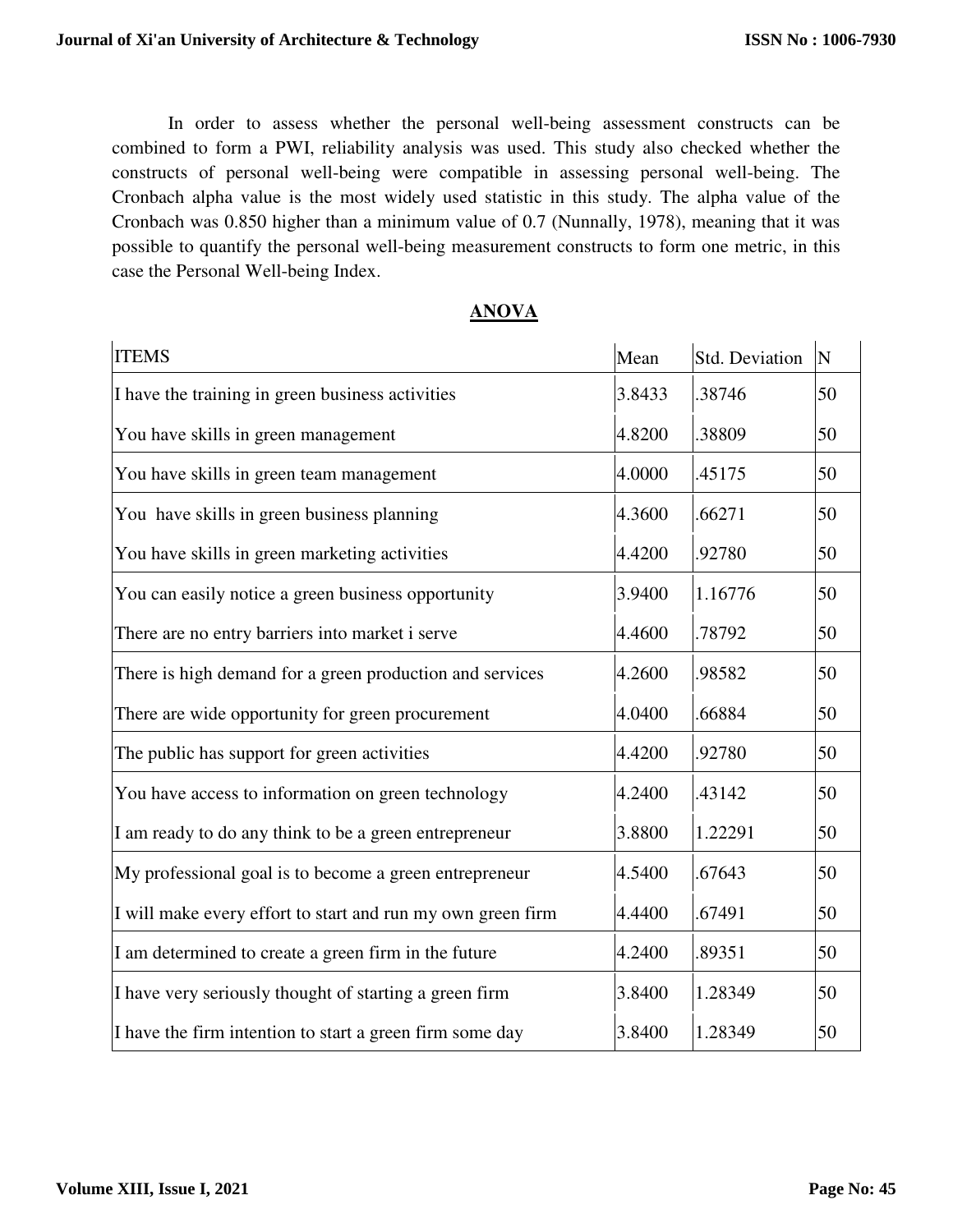In order to assess whether the personal well-being assessment constructs can be combined to form a PWI, reliability analysis was used. This study also checked whether the constructs of personal well-being were compatible in assessing personal well-being. The Cronbach alpha value is the most widely used statistic in this study. The alpha value of the Cronbach was 0.850 higher than a minimum value of 0.7 (Nunnally, 1978), meaning that it was possible to quantify the personal well-being measurement constructs to form one metric, in this case the Personal Well-being Index.

| <b>ITEMS</b>                                                | Mean   | <b>Std. Deviation</b> | $\mathbf N$ |
|-------------------------------------------------------------|--------|-----------------------|-------------|
| I have the training in green business activities            | 3.8433 | .38746                | 50          |
| You have skills in green management                         | 4.8200 | .38809                | 50          |
| You have skills in green team management                    | 4.0000 | .45175                | 50          |
| You have skills in green business planning                  | 4.3600 | .66271                | 50          |
| You have skills in green marketing activities               | 4.4200 | .92780                | 50          |
| You can easily notice a green business opportunity          | 3.9400 | 1.16776               | 50          |
| There are no entry barriers into market i serve             | 4.4600 | .78792                | 50          |
| There is high demand for a green production and services    | 4.2600 | .98582                | 50          |
| There are wide opportunity for green procurement            | 4.0400 | .66884                | 50          |
| The public has support for green activities                 | 4.4200 | .92780                | 50          |
| You have access to information on green technology          | 4.2400 | .43142                | 50          |
| I am ready to do any think to be a green entrepreneur       | 3.8800 | 1.22291               | 50          |
| My professional goal is to become a green entrepreneur      | 4.5400 | .67643                | 50          |
| I will make every effort to start and run my own green firm | 4.4400 | .67491                | 50          |
| I am determined to create a green firm in the future        | 4.2400 | .89351                | 50          |
| I have very seriously thought of starting a green firm      | 3.8400 | 1.28349               | 50          |
| I have the firm intention to start a green firm some day    | 3.8400 | 1.28349               | 50          |

### **ANOVA**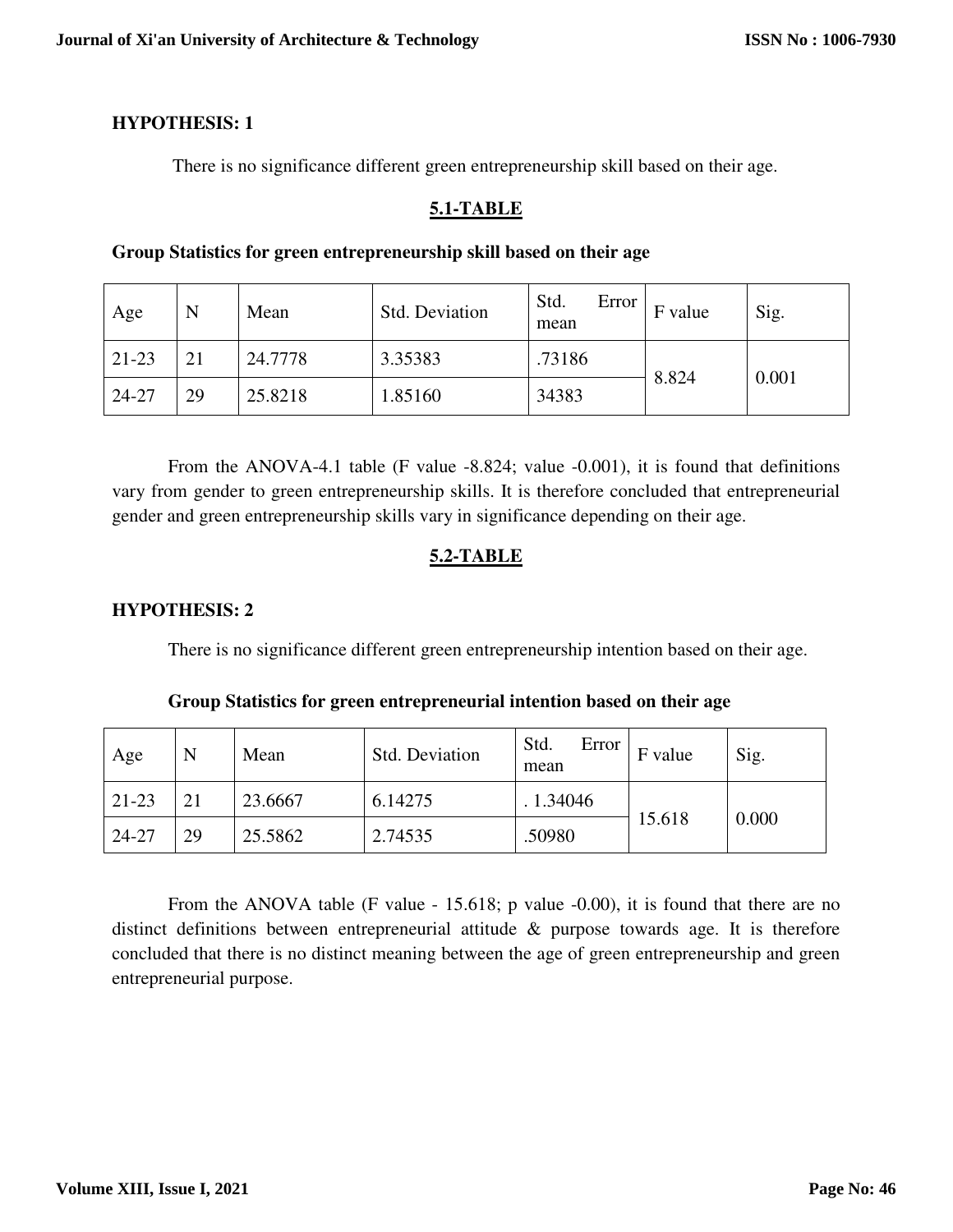# **HYPOTHESIS: 1**

There is no significance different green entrepreneurship skill based on their age.

# **5.1-TABLE**

# **Group Statistics for green entrepreneurship skill based on their age**

| Age     | N  | Mean    | <b>Std. Deviation</b> | Std.<br>Error<br>mean | F value | Sig.  |
|---------|----|---------|-----------------------|-----------------------|---------|-------|
| $21-23$ | 21 | 24.7778 | 3.35383               | .73186                |         | 0.001 |
| 24-27   | 29 | 25.8218 | 1.85160               | 34383                 | 8.824   |       |

From the ANOVA-4.1 table (F value -8.824; value -0.001), it is found that definitions vary from gender to green entrepreneurship skills. It is therefore concluded that entrepreneurial gender and green entrepreneurship skills vary in significance depending on their age.

# **5.2-TABLE**

# **HYPOTHESIS: 2**

There is no significance different green entrepreneurship intention based on their age.

| Age       | N  | Mean    | <b>Std. Deviation</b> | Std.<br>Error<br>mean | F value | Sig.  |
|-----------|----|---------|-----------------------|-----------------------|---------|-------|
| $21 - 23$ |    | 23.6667 | 6.14275               | 1.34046               |         | 0.000 |
| 24-27     | 29 | 25.5862 | 2.74535               | .50980                | 15.618  |       |

**Group Statistics for green entrepreneurial intention based on their age** 

From the ANOVA table (F value -  $15.618$ ; p value -0.00), it is found that there are no distinct definitions between entrepreneurial attitude & purpose towards age. It is therefore concluded that there is no distinct meaning between the age of green entrepreneurship and green entrepreneurial purpose.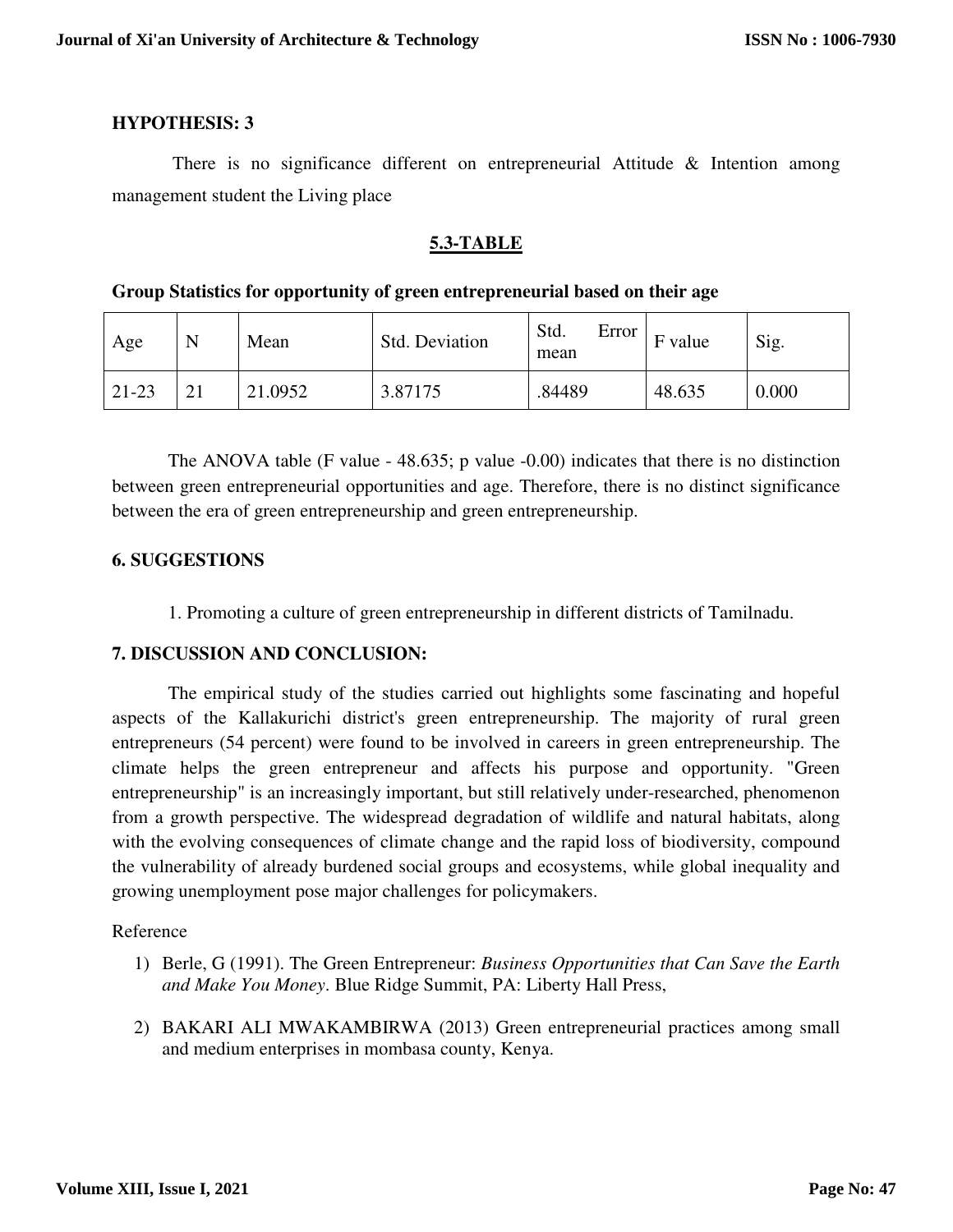### **HYPOTHESIS: 3**

 There is no significance different on entrepreneurial Attitude & Intention among management student the Living place

# **5.3-TABLE**

### **Group Statistics for opportunity of green entrepreneurial based on their age**

| Age     | N  | Mean    | Std. Deviation | Std.<br>Error<br>mean | value<br>E | Sig.  |
|---------|----|---------|----------------|-----------------------|------------|-------|
| $21-23$ | ∠⊥ | 21.0952 | 3.87175        | .84489                | 48.635     | 0.000 |

The ANOVA table (F value  $-48.635$ ; p value  $-0.00$ ) indicates that there is no distinction between green entrepreneurial opportunities and age. Therefore, there is no distinct significance between the era of green entrepreneurship and green entrepreneurship.

# **6. SUGGESTIONS**

1. Promoting a culture of green entrepreneurship in different districts of Tamilnadu.

### **7. DISCUSSION AND CONCLUSION:**

The empirical study of the studies carried out highlights some fascinating and hopeful aspects of the Kallakurichi district's green entrepreneurship. The majority of rural green entrepreneurs (54 percent) were found to be involved in careers in green entrepreneurship. The climate helps the green entrepreneur and affects his purpose and opportunity. "Green entrepreneurship" is an increasingly important, but still relatively under-researched, phenomenon from a growth perspective. The widespread degradation of wildlife and natural habitats, along with the evolving consequences of climate change and the rapid loss of biodiversity, compound the vulnerability of already burdened social groups and ecosystems, while global inequality and growing unemployment pose major challenges for policymakers.

#### Reference

- 1) Berle, G (1991). The Green Entrepreneur: *Business Opportunities that Can Save the Earth and Make You Money*. Blue Ridge Summit, PA: Liberty Hall Press,
- 2) BAKARI ALI MWAKAMBIRWA (2013) Green entrepreneurial practices among small and medium enterprises in mombasa county, Kenya.